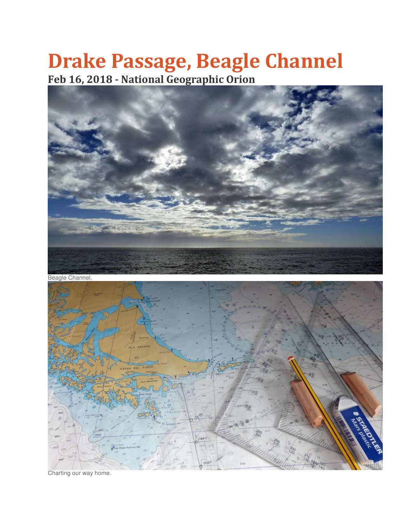## Drake Passage, Beagle Channel Feb 16, 2018 - National Geographic Orion



Beagle Channel.



Charting our way home.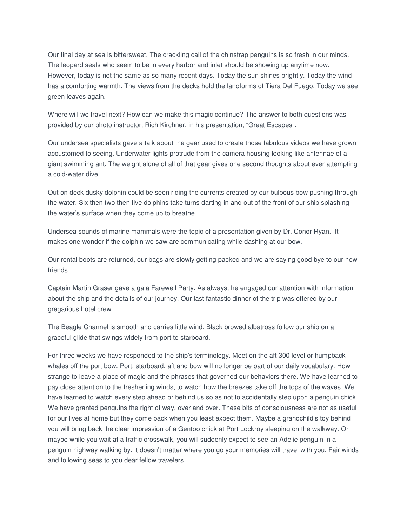Our final day at sea is bittersweet. The crackling call of the chinstrap penguins is so fresh in our minds. The leopard seals who seem to be in every harbor and inlet should be showing up anytime now. However, today is not the same as so many recent days. Today the sun shines brightly. Today the wind has a comforting warmth. The views from the decks hold the landforms of Tiera Del Fuego. Today we see green leaves again.

Where will we travel next? How can we make this magic continue? The answer to both questions was provided by our photo instructor, Rich Kirchner, in his presentation, "Great Escapes".

Our undersea specialists gave a talk about the gear used to create those fabulous videos we have grown accustomed to seeing. Underwater lights protrude from the camera housing looking like antennae of a giant swimming ant. The weight alone of all of that gear gives one second thoughts about ever attempting a cold-water dive.

Out on deck dusky dolphin could be seen riding the currents created by our bulbous bow pushing through the water. Six then two then five dolphins take turns darting in and out of the front of our ship splashing the water's surface when they come up to breathe.

Undersea sounds of marine mammals were the topic of a presentation given by Dr. Conor Ryan. It makes one wonder if the dolphin we saw are communicating while dashing at our bow.

Our rental boots are returned, our bags are slowly getting packed and we are saying good bye to our new friends.

Captain Martin Graser gave a gala Farewell Party. As always, he engaged our attention with information about the ship and the details of our journey. Our last fantastic dinner of the trip was offered by our gregarious hotel crew.

The Beagle Channel is smooth and carries little wind. Black browed albatross follow our ship on a graceful glide that swings widely from port to starboard.

For three weeks we have responded to the ship's terminology. Meet on the aft 300 level or humpback whales off the port bow. Port, starboard, aft and bow will no longer be part of our daily vocabulary. How strange to leave a place of magic and the phrases that governed our behaviors there. We have learned to pay close attention to the freshening winds, to watch how the breezes take off the tops of the waves. We have learned to watch every step ahead or behind us so as not to accidentally step upon a penguin chick. We have granted penguins the right of way, over and over. These bits of consciousness are not as useful for our lives at home but they come back when you least expect them. Maybe a grandchild's toy behind you will bring back the clear impression of a Gentoo chick at Port Lockroy sleeping on the walkway. Or maybe while you wait at a traffic crosswalk, you will suddenly expect to see an Adelie penguin in a penguin highway walking by. It doesn't matter where you go your memories will travel with you. Fair winds and following seas to you dear fellow travelers.